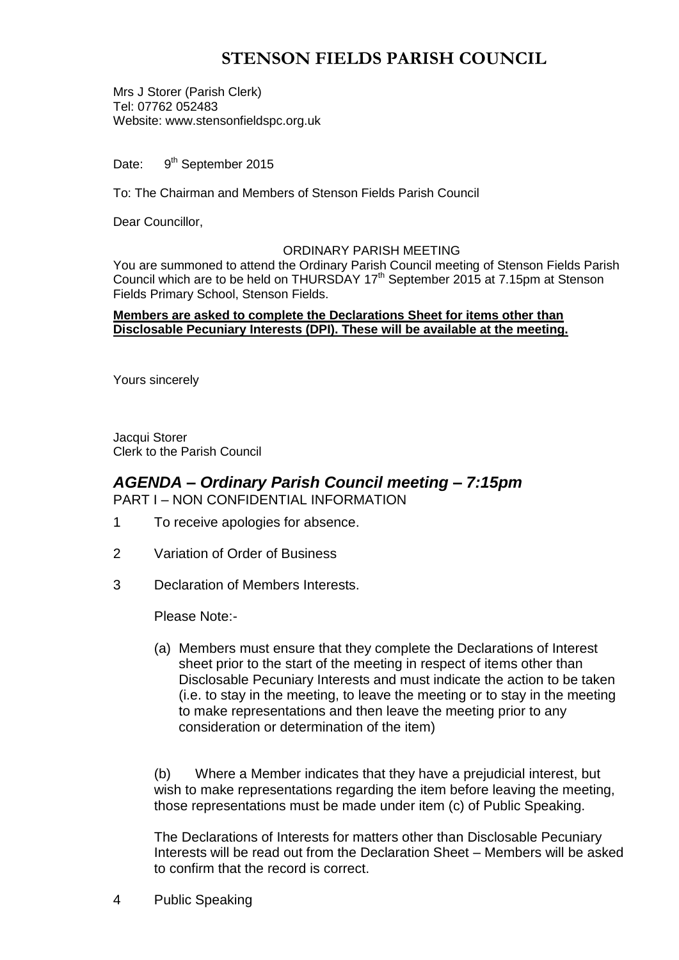# **STENSON FIELDS PARISH COUNCIL**

Mrs J Storer (Parish Clerk) Tel: 07762 052483 Website: www.stensonfieldspc.org.uk

Date: 9<sup>th</sup> September 2015

To: The Chairman and Members of Stenson Fields Parish Council

Dear Councillor,

#### ORDINARY PARISH MEETING

You are summoned to attend the Ordinary Parish Council meeting of Stenson Fields Parish Council which are to be held on THURSDAY 17<sup>th</sup> September 2015 at 7.15pm at Stenson Fields Primary School, Stenson Fields.

#### **Members are asked to complete the Declarations Sheet for items other than Disclosable Pecuniary Interests (DPI). These will be available at the meeting.**

Yours sincerely

Jacqui Storer Clerk to the Parish Council

## *AGENDA – Ordinary Parish Council meeting – 7:15pm* PART I – NON CONFIDENTIAL INFORMATION

- 1 To receive apologies for absence.
- 2 Variation of Order of Business
- 3 Declaration of Members Interests.

Please Note:-

(a) Members must ensure that they complete the Declarations of Interest sheet prior to the start of the meeting in respect of items other than Disclosable Pecuniary Interests and must indicate the action to be taken (i.e. to stay in the meeting, to leave the meeting or to stay in the meeting to make representations and then leave the meeting prior to any consideration or determination of the item)

(b) Where a Member indicates that they have a prejudicial interest, but wish to make representations regarding the item before leaving the meeting, those representations must be made under item (c) of Public Speaking.

The Declarations of Interests for matters other than Disclosable Pecuniary Interests will be read out from the Declaration Sheet – Members will be asked to confirm that the record is correct.

4 Public Speaking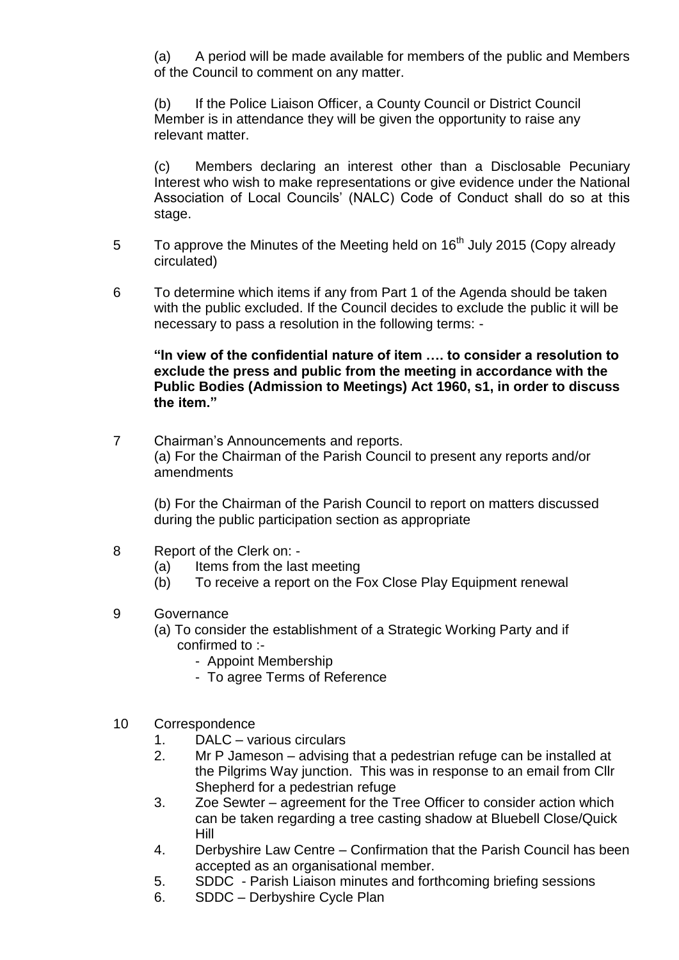(a) A period will be made available for members of the public and Members of the Council to comment on any matter.

(b) If the Police Liaison Officer, a County Council or District Council Member is in attendance they will be given the opportunity to raise any relevant matter.

(c) Members declaring an interest other than a Disclosable Pecuniary Interest who wish to make representations or give evidence under the National Association of Local Councils' (NALC) Code of Conduct shall do so at this stage.

- 5 To approve the Minutes of the Meeting held on  $16<sup>th</sup>$  July 2015 (Copy already circulated)
- 6 To determine which items if any from Part 1 of the Agenda should be taken with the public excluded. If the Council decides to exclude the public it will be necessary to pass a resolution in the following terms: -

**"In view of the confidential nature of item …. to consider a resolution to exclude the press and public from the meeting in accordance with the Public Bodies (Admission to Meetings) Act 1960, s1, in order to discuss the item."** 

7 Chairman's Announcements and reports. (a) For the Chairman of the Parish Council to present any reports and/or amendments

(b) For the Chairman of the Parish Council to report on matters discussed during the public participation section as appropriate

- 8 Report of the Clerk on:
	- (a) Items from the last meeting
	- (b) To receive a report on the Fox Close Play Equipment renewal
- 9 Governance
	- (a) To consider the establishment of a Strategic Working Party and if confirmed to :-
		- Appoint Membership
		- To agree Terms of Reference
- 10 Correspondence
	- 1. DALC various circulars
	- 2. Mr P Jameson advising that a pedestrian refuge can be installed at the Pilgrims Way junction. This was in response to an email from Cllr Shepherd for a pedestrian refuge
	- 3. Zoe Sewter agreement for the Tree Officer to consider action which can be taken regarding a tree casting shadow at Bluebell Close/Quick Hill
	- 4. Derbyshire Law Centre Confirmation that the Parish Council has been accepted as an organisational member.
	- 5. SDDC Parish Liaison minutes and forthcoming briefing sessions
	- 6. SDDC Derbyshire Cycle Plan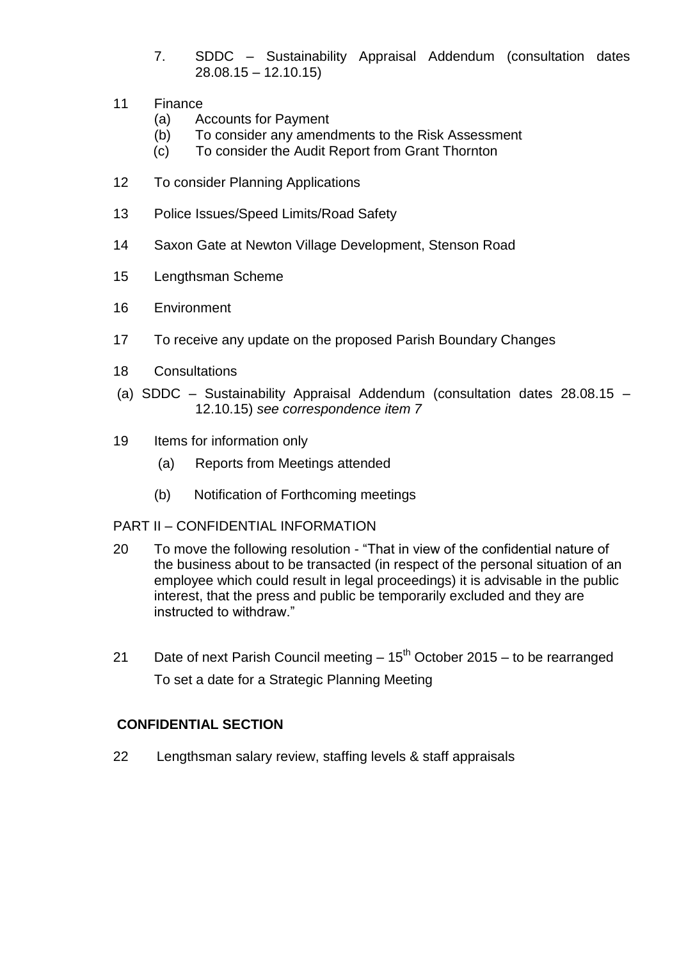- 7. SDDC Sustainability Appraisal Addendum (consultation dates 28.08.15 – 12.10.15)
- 11 Finance
	- (a) Accounts for Payment
	- (b) To consider any amendments to the Risk Assessment
	- (c) To consider the Audit Report from Grant Thornton
- 12 To consider Planning Applications
- 13 Police Issues/Speed Limits/Road Safety
- 14 Saxon Gate at Newton Village Development, Stenson Road
- 15 Lengthsman Scheme
- 16 Environment
- 17 To receive any update on the proposed Parish Boundary Changes
- 18 Consultations
- (a) SDDC Sustainability Appraisal Addendum (consultation dates 28.08.15 12.10.15) *see correspondence item 7*
- 19 Items for information only
	- (a) Reports from Meetings attended
	- (b) Notification of Forthcoming meetings
- PART II CONFIDENTIAL INFORMATION
- 20 To move the following resolution "That in view of the confidential nature of the business about to be transacted (in respect of the personal situation of an employee which could result in legal proceedings) it is advisable in the public interest, that the press and public be temporarily excluded and they are instructed to withdraw."
- 21 Date of next Parish Council meeting  $-15<sup>th</sup>$  October 2015 to be rearranged To set a date for a Strategic Planning Meeting

# **CONFIDENTIAL SECTION**

22 Lengthsman salary review, staffing levels & staff appraisals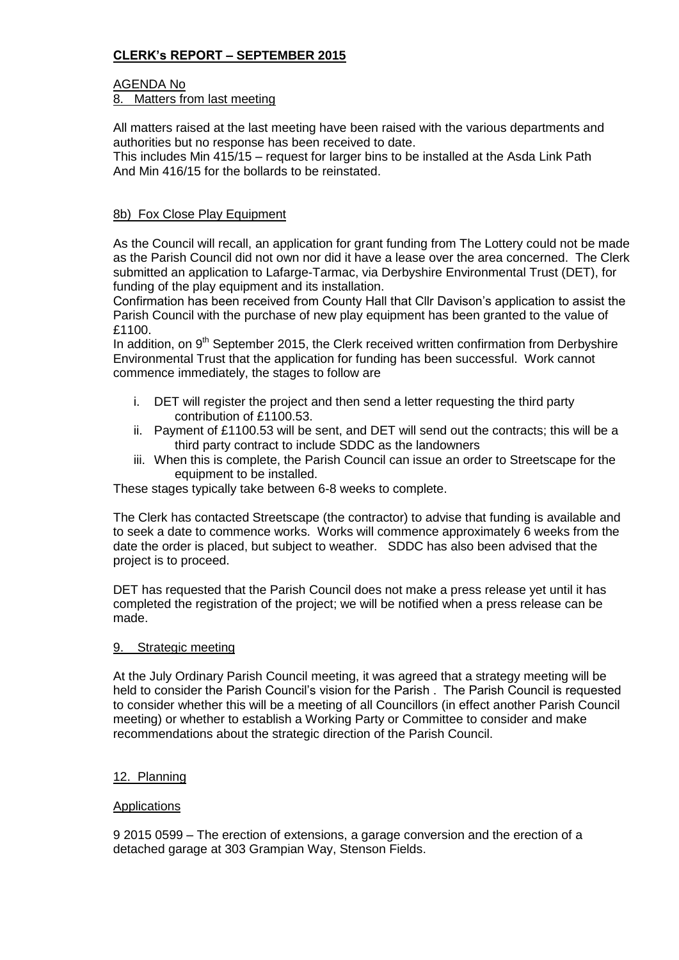# **CLERK's REPORT – SEPTEMBER 2015**

# AGENDA No

## 8. Matters from last meeting

All matters raised at the last meeting have been raised with the various departments and authorities but no response has been received to date.

This includes Min 415/15 – request for larger bins to be installed at the Asda Link Path And Min 416/15 for the bollards to be reinstated.

### 8b) Fox Close Play Equipment

As the Council will recall, an application for grant funding from The Lottery could not be made as the Parish Council did not own nor did it have a lease over the area concerned. The Clerk submitted an application to Lafarge-Tarmac, via Derbyshire Environmental Trust (DET), for funding of the play equipment and its installation.

Confirmation has been received from County Hall that Cllr Davison's application to assist the Parish Council with the purchase of new play equipment has been granted to the value of £1100.

In addition, on  $9<sup>th</sup>$  September 2015, the Clerk received written confirmation from Derbyshire Environmental Trust that the application for funding has been successful. Work cannot commence immediately, the stages to follow are

- i. DET will register the project and then send a letter requesting the third party contribution of £1100.53.
- ii. Payment of £1100.53 will be sent, and DET will send out the contracts; this will be a third party contract to include SDDC as the landowners
- iii. When this is complete, the Parish Council can issue an order to Streetscape for the equipment to be installed.

These stages typically take between 6-8 weeks to complete.

The Clerk has contacted Streetscape (the contractor) to advise that funding is available and to seek a date to commence works. Works will commence approximately 6 weeks from the date the order is placed, but subject to weather. SDDC has also been advised that the project is to proceed.

DET has requested that the Parish Council does not make a press release yet until it has completed the registration of the project; we will be notified when a press release can be made.

#### 9. Strategic meeting

At the July Ordinary Parish Council meeting, it was agreed that a strategy meeting will be held to consider the Parish Council's vision for the Parish . The Parish Council is requested to consider whether this will be a meeting of all Councillors (in effect another Parish Council meeting) or whether to establish a Working Party or Committee to consider and make recommendations about the strategic direction of the Parish Council.

### 12. Planning

#### **Applications**

9 2015 0599 – The erection of extensions, a garage conversion and the erection of a detached garage at 303 Grampian Way, Stenson Fields.